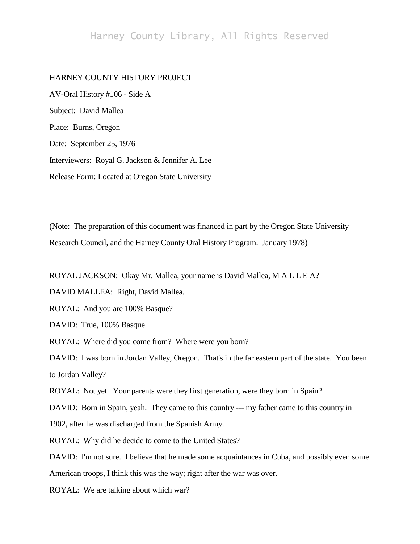## Harney County Library, All Rights Reserved

## HARNEY COUNTY HISTORY PROJECT

AV-Oral History #106 - Side A Subject: David Mallea Place: Burns, Oregon Date: September 25, 1976 Interviewers: Royal G. Jackson & Jennifer A. Lee Release Form: Located at Oregon State University

(Note: The preparation of this document was financed in part by the Oregon State University Research Council, and the Harney County Oral History Program. January 1978)

ROYAL JACKSON: Okay Mr. Mallea, your name is David Mallea, M A L L E A?

DAVID MALLEA: Right, David Mallea.

ROYAL: And you are 100% Basque?

DAVID: True, 100% Basque.

ROYAL: Where did you come from? Where were you born?

DAVID: I was born in Jordan Valley, Oregon. That's in the far eastern part of the state. You been to Jordan Valley?

ROYAL: Not yet. Your parents were they first generation, were they born in Spain?

DAVID: Born in Spain, yeah. They came to this country --- my father came to this country in

1902, after he was discharged from the Spanish Army.

ROYAL: Why did he decide to come to the United States?

DAVID: I'm not sure. I believe that he made some acquaintances in Cuba, and possibly even some

American troops, I think this was the way; right after the war was over.

ROYAL: We are talking about which war?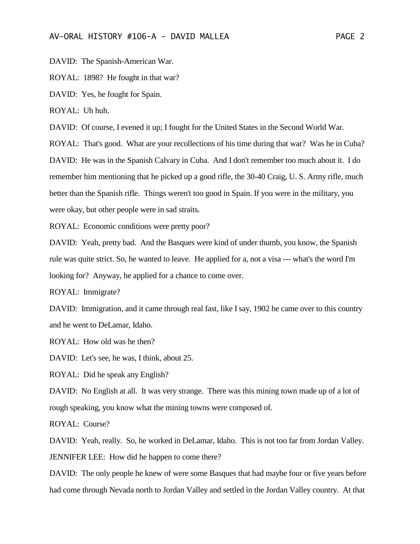DAVID: The Spanish-American War.

ROYAL: 1898? He fought in that war?

DAVID: Yes, he fought for Spain.

ROYAL: Uh huh.

DAVID: Of course, I evened it up; I fought for the United States in the Second World War.

ROYAL: That's good. What are your recollections of his time during that war? Was he in Cuba?

DAVID: He was in the Spanish Calvary in Cuba. And I don't remember too much about it. I do remember him mentioning that he picked up a good rifle, the 30-40 Craig, U. S. Army rifle, much better than the Spanish rifle. Things weren't too good in Spain. If you were in the military, you were okay, but other people were in sad straits.

ROYAL: Economic conditions were pretty poor?

DAVID: Yeah, pretty bad. And the Basques were kind of under thumb, you know, the Spanish rule was quite strict. So, he wanted to leave. He applied for a, not a visa --- what's the word I'm looking for? Anyway, he applied for a chance to come over.

ROYAL: Immigrate?

DAVID: Immigration, and it came through real fast, like I say, 1902 he came over to this country and he went to DeLamar, Idaho.

ROYAL: How old was he then?

DAVID: Let's see, he was, I think, about 25.

ROYAL: Did he speak any English?

DAVID: No English at all. It was very strange. There was this mining town made up of a lot of rough speaking, you know what the mining towns were composed of.

ROYAL: Course?

DAVID: Yeah, really. So, he worked in DeLamar, Idaho. This is not too far from Jordan Valley. JENNIFER LEE: How did he happen to come there?

DAVID: The only people he knew of were some Basques that had maybe four or five years before had come through Nevada north to Jordan Valley and settled in the Jordan Valley country. At that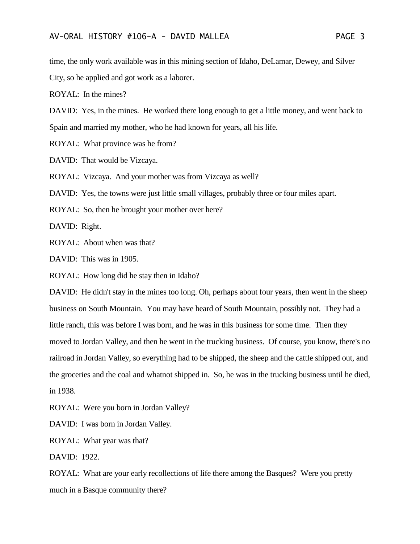time, the only work available was in this mining section of Idaho, DeLamar, Dewey, and Silver City, so he applied and got work as a laborer.

ROYAL: In the mines?

DAVID: Yes, in the mines. He worked there long enough to get a little money, and went back to Spain and married my mother, who he had known for years, all his life.

ROYAL: What province was he from?

DAVID: That would be Vizcaya.

ROYAL: Vizcaya. And your mother was from Vizcaya as well?

DAVID: Yes, the towns were just little small villages, probably three or four miles apart.

ROYAL: So, then he brought your mother over here?

DAVID: Right.

ROYAL: About when was that?

DAVID: This was in 1905.

ROYAL: How long did he stay then in Idaho?

DAVID: He didn't stay in the mines too long. Oh, perhaps about four years, then went in the sheep business on South Mountain. You may have heard of South Mountain, possibly not. They had a little ranch, this was before I was born, and he was in this business for some time. Then they moved to Jordan Valley, and then he went in the trucking business. Of course, you know, there's no railroad in Jordan Valley, so everything had to be shipped, the sheep and the cattle shipped out, and the groceries and the coal and whatnot shipped in. So, he was in the trucking business until he died, in 1938.

ROYAL: Were you born in Jordan Valley?

DAVID: I was born in Jordan Valley.

ROYAL: What year was that?

DAVID: 1922.

ROYAL: What are your early recollections of life there among the Basques? Were you pretty much in a Basque community there?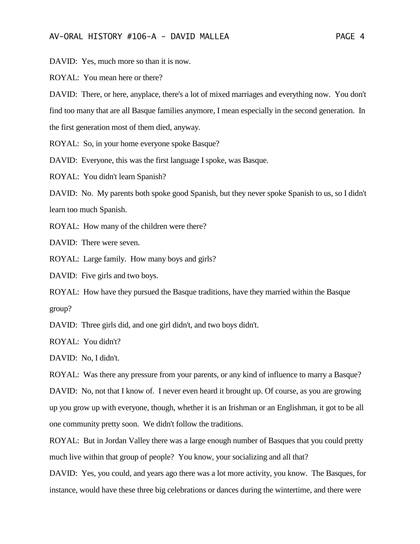DAVID: Yes, much more so than it is now.

ROYAL: You mean here or there?

DAVID: There, or here, anyplace, there's a lot of mixed marriages and everything now. You don't find too many that are all Basque families anymore, I mean especially in the second generation. In the first generation most of them died, anyway.

ROYAL: So, in your home everyone spoke Basque?

DAVID: Everyone, this was the first language I spoke, was Basque.

ROYAL: You didn't learn Spanish?

DAVID: No. My parents both spoke good Spanish, but they never spoke Spanish to us, so I didn't learn too much Spanish.

ROYAL: How many of the children were there?

DAVID: There were seven.

ROYAL: Large family. How many boys and girls?

DAVID: Five girls and two boys.

ROYAL: How have they pursued the Basque traditions, have they married within the Basque group?

DAVID: Three girls did, and one girl didn't, and two boys didn't.

ROYAL: You didn't?

DAVID: No, I didn't.

ROYAL: Was there any pressure from your parents, or any kind of influence to marry a Basque? DAVID: No, not that I know of. I never even heard it brought up. Of course, as you are growing up you grow up with everyone, though, whether it is an Irishman or an Englishman, it got to be all one community pretty soon. We didn't follow the traditions.

ROYAL: But in Jordan Valley there was a large enough number of Basques that you could pretty much live within that group of people? You know, your socializing and all that?

DAVID: Yes, you could, and years ago there was a lot more activity, you know. The Basques, for instance, would have these three big celebrations or dances during the wintertime, and there were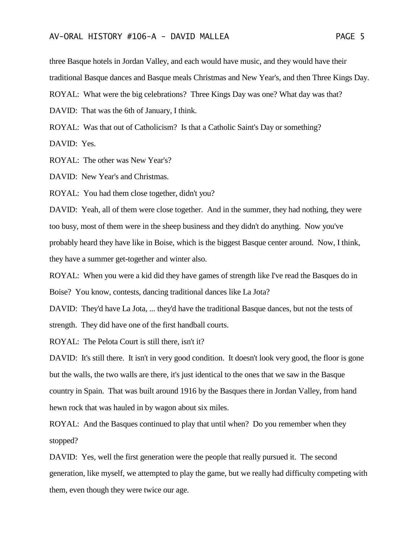three Basque hotels in Jordan Valley, and each would have music, and they would have their traditional Basque dances and Basque meals Christmas and New Year's, and then Three Kings Day.

ROYAL: What were the big celebrations? Three Kings Day was one? What day was that?

DAVID: That was the 6th of January, I think.

ROYAL: Was that out of Catholicism? Is that a Catholic Saint's Day or something?

DAVID: Yes.

ROYAL: The other was New Year's?

DAVID: New Year's and Christmas.

ROYAL: You had them close together, didn't you?

DAVID: Yeah, all of them were close together. And in the summer, they had nothing, they were too busy, most of them were in the sheep business and they didn't do anything. Now you've probably heard they have like in Boise, which is the biggest Basque center around. Now, I think, they have a summer get-together and winter also.

ROYAL: When you were a kid did they have games of strength like I've read the Basques do in Boise? You know, contests, dancing traditional dances like La Jota?

DAVID: They'd have La Jota, ... they'd have the traditional Basque dances, but not the tests of strength. They did have one of the first handball courts.

ROYAL: The Pelota Court is still there, isn't it?

DAVID: It's still there. It isn't in very good condition. It doesn't look very good, the floor is gone but the walls, the two walls are there, it's just identical to the ones that we saw in the Basque country in Spain. That was built around 1916 by the Basques there in Jordan Valley, from hand hewn rock that was hauled in by wagon about six miles.

ROYAL: And the Basques continued to play that until when? Do you remember when they stopped?

DAVID: Yes, well the first generation were the people that really pursued it. The second generation, like myself, we attempted to play the game, but we really had difficulty competing with them, even though they were twice our age.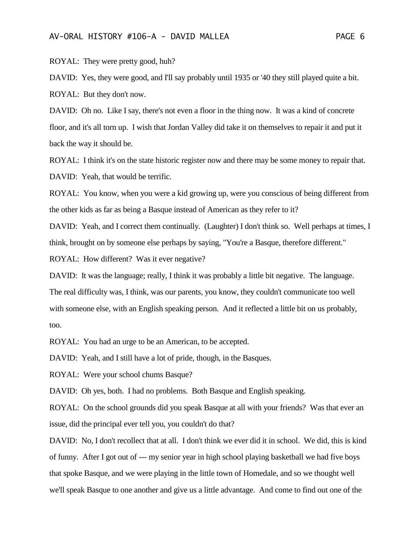ROYAL: They were pretty good, huh?

DAVID: Yes, they were good, and I'll say probably until 1935 or '40 they still played quite a bit. ROYAL: But they don't now.

DAVID: Oh no. Like I say, there's not even a floor in the thing now. It was a kind of concrete floor, and it's all torn up. I wish that Jordan Valley did take it on themselves to repair it and put it back the way it should be.

ROYAL: I think it's on the state historic register now and there may be some money to repair that. DAVID: Yeah, that would be terrific.

ROYAL: You know, when you were a kid growing up, were you conscious of being different from the other kids as far as being a Basque instead of American as they refer to it?

DAVID: Yeah, and I correct them continually. (Laughter) I don't think so. Well perhaps at times, I think, brought on by someone else perhaps by saying, "You're a Basque, therefore different."

ROYAL: How different? Was it ever negative?

DAVID: It was the language; really, I think it was probably a little bit negative. The language. The real difficulty was, I think, was our parents, you know, they couldn't communicate too well with someone else, with an English speaking person. And it reflected a little bit on us probably, too.

ROYAL: You had an urge to be an American, to be accepted.

DAVID: Yeah, and I still have a lot of pride, though, in the Basques.

ROYAL: Were your school chums Basque?

DAVID: Oh yes, both. I had no problems. Both Basque and English speaking.

ROYAL: On the school grounds did you speak Basque at all with your friends? Was that ever an issue, did the principal ever tell you, you couldn't do that?

DAVID: No, I don't recollect that at all. I don't think we ever did it in school. We did, this is kind of funny. After I got out of --- my senior year in high school playing basketball we had five boys that spoke Basque, and we were playing in the little town of Homedale, and so we thought well we'll speak Basque to one another and give us a little advantage. And come to find out one of the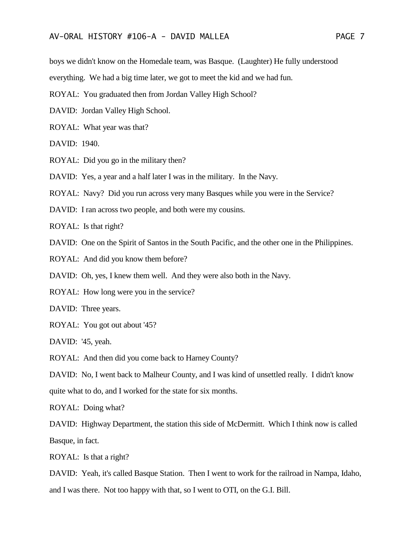boys we didn't know on the Homedale team, was Basque. (Laughter) He fully understood

everything. We had a big time later, we got to meet the kid and we had fun.

- ROYAL: You graduated then from Jordan Valley High School?
- DAVID: Jordan Valley High School.
- ROYAL: What year was that?
- DAVID: 1940.
- ROYAL: Did you go in the military then?

DAVID: Yes, a year and a half later I was in the military. In the Navy.

ROYAL: Navy? Did you run across very many Basques while you were in the Service?

DAVID: I ran across two people, and both were my cousins.

ROYAL: Is that right?

- DAVID: One on the Spirit of Santos in the South Pacific, and the other one in the Philippines.
- ROYAL: And did you know them before?

DAVID: Oh, yes, I knew them well. And they were also both in the Navy.

ROYAL: How long were you in the service?

DAVID: Three years.

ROYAL: You got out about '45?

DAVID: '45, yeah.

ROYAL: And then did you come back to Harney County?

DAVID: No, I went back to Malheur County, and I was kind of unsettled really. I didn't know quite what to do, and I worked for the state for six months.

ROYAL: Doing what?

DAVID: Highway Department, the station this side of McDermitt. Which I think now is called Basque, in fact.

ROYAL: Is that a right?

DAVID: Yeah, it's called Basque Station. Then I went to work for the railroad in Nampa, Idaho, and I was there. Not too happy with that, so I went to OTI, on the G.I. Bill.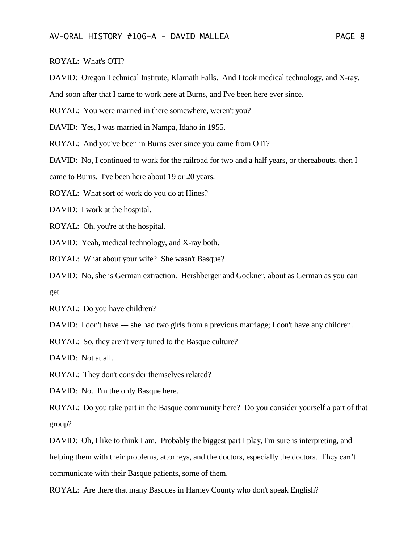ROYAL: What's OTI?

DAVID: Oregon Technical Institute, Klamath Falls. And I took medical technology, and X-ray.

And soon after that I came to work here at Burns, and I've been here ever since.

ROYAL: You were married in there somewhere, weren't you?

DAVID: Yes, I was married in Nampa, Idaho in 1955.

ROYAL: And you've been in Burns ever since you came from OTI?

DAVID: No, I continued to work for the railroad for two and a half years, or thereabouts, then I

came to Burns. I've been here about 19 or 20 years.

ROYAL: What sort of work do you do at Hines?

DAVID: I work at the hospital.

ROYAL: Oh, you're at the hospital.

DAVID: Yeah, medical technology, and X-ray both.

ROYAL: What about your wife? She wasn't Basque?

DAVID: No, she is German extraction. Hershberger and Gockner, about as German as you can get.

ROYAL: Do you have children?

DAVID: I don't have --- she had two girls from a previous marriage; I don't have any children.

ROYAL: So, they aren't very tuned to the Basque culture?

DAVID: Not at all.

ROYAL: They don't consider themselves related?

DAVID: No. I'm the only Basque here.

ROYAL: Do you take part in the Basque community here? Do you consider yourself a part of that group?

DAVID: Oh, I like to think I am. Probably the biggest part I play, I'm sure is interpreting, and helping them with their problems, attorneys, and the doctors, especially the doctors. They can't communicate with their Basque patients, some of them.

ROYAL: Are there that many Basques in Harney County who don't speak English?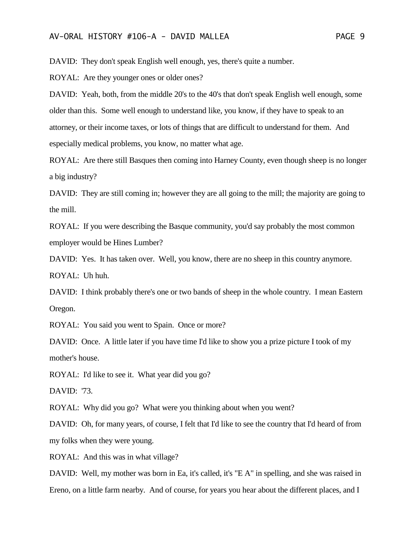DAVID: They don't speak English well enough, yes, there's quite a number.

ROYAL: Are they younger ones or older ones?

DAVID: Yeah, both, from the middle 20's to the 40's that don't speak English well enough, some older than this. Some well enough to understand like, you know, if they have to speak to an attorney, or their income taxes, or lots of things that are difficult to understand for them. And especially medical problems, you know, no matter what age.

ROYAL: Are there still Basques then coming into Harney County, even though sheep is no longer a big industry?

DAVID: They are still coming in; however they are all going to the mill; the majority are going to the mill.

ROYAL: If you were describing the Basque community, you'd say probably the most common employer would be Hines Lumber?

DAVID: Yes. It has taken over. Well, you know, there are no sheep in this country anymore. ROYAL: Uh huh.

DAVID: I think probably there's one or two bands of sheep in the whole country. I mean Eastern Oregon.

ROYAL: You said you went to Spain. Once or more?

DAVID: Once. A little later if you have time I'd like to show you a prize picture I took of my mother's house.

ROYAL: I'd like to see it. What year did you go?

DAVID: '73.

ROYAL: Why did you go? What were you thinking about when you went?

DAVID: Oh, for many years, of course, I felt that I'd like to see the country that I'd heard of from my folks when they were young.

ROYAL: And this was in what village?

DAVID: Well, my mother was born in Ea, it's called, it's "E A" in spelling, and she was raised in Ereno, on a little farm nearby. And of course, for years you hear about the different places, and I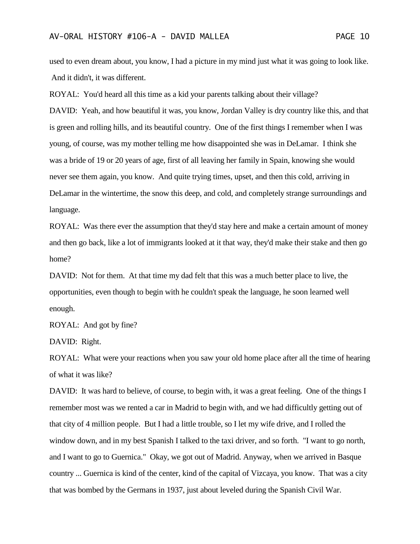used to even dream about, you know, I had a picture in my mind just what it was going to look like. And it didn't, it was different.

ROYAL: You'd heard all this time as a kid your parents talking about their village? DAVID: Yeah, and how beautiful it was, you know, Jordan Valley is dry country like this, and that is green and rolling hills, and its beautiful country. One of the first things I remember when I was young, of course, was my mother telling me how disappointed she was in DeLamar. I think she was a bride of 19 or 20 years of age, first of all leaving her family in Spain, knowing she would never see them again, you know. And quite trying times, upset, and then this cold, arriving in DeLamar in the wintertime, the snow this deep, and cold, and completely strange surroundings and language.

ROYAL: Was there ever the assumption that they'd stay here and make a certain amount of money and then go back, like a lot of immigrants looked at it that way, they'd make their stake and then go home?

DAVID: Not for them. At that time my dad felt that this was a much better place to live, the opportunities, even though to begin with he couldn't speak the language, he soon learned well enough.

ROYAL: And got by fine?

DAVID: Right.

ROYAL: What were your reactions when you saw your old home place after all the time of hearing of what it was like?

DAVID: It was hard to believe, of course, to begin with, it was a great feeling. One of the things I remember most was we rented a car in Madrid to begin with, and we had difficultly getting out of that city of 4 million people. But I had a little trouble, so I let my wife drive, and I rolled the window down, and in my best Spanish I talked to the taxi driver, and so forth. "I want to go north, and I want to go to Guernica." Okay, we got out of Madrid. Anyway, when we arrived in Basque country ... Guernica is kind of the center, kind of the capital of Vizcaya, you know. That was a city that was bombed by the Germans in 1937, just about leveled during the Spanish Civil War.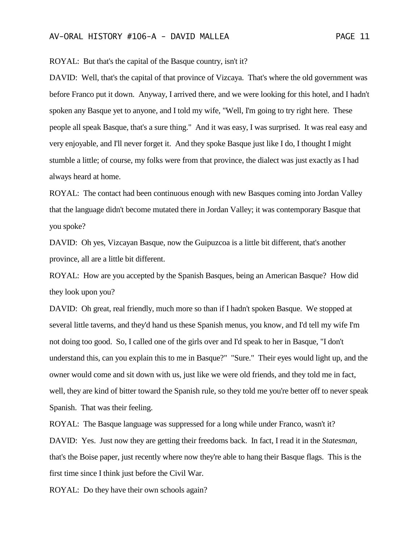ROYAL: But that's the capital of the Basque country, isn't it?

DAVID: Well, that's the capital of that province of Vizcaya. That's where the old government was before Franco put it down. Anyway, I arrived there, and we were looking for this hotel, and I hadn't spoken any Basque yet to anyone, and I told my wife, "Well, I'm going to try right here. These people all speak Basque, that's a sure thing." And it was easy, I was surprised. It was real easy and very enjoyable, and I'll never forget it. And they spoke Basque just like I do, I thought I might stumble a little; of course, my folks were from that province, the dialect was just exactly as I had always heard at home.

ROYAL: The contact had been continuous enough with new Basques coming into Jordan Valley that the language didn't become mutated there in Jordan Valley; it was contemporary Basque that you spoke?

DAVID: Oh yes, Vizcayan Basque, now the Guipuzcoa is a little bit different, that's another province, all are a little bit different.

ROYAL: How are you accepted by the Spanish Basques, being an American Basque? How did they look upon you?

DAVID: Oh great, real friendly, much more so than if I hadn't spoken Basque. We stopped at several little taverns, and they'd hand us these Spanish menus, you know, and I'd tell my wife I'm not doing too good. So, I called one of the girls over and I'd speak to her in Basque, "I don't understand this, can you explain this to me in Basque?" "Sure." Their eyes would light up, and the owner would come and sit down with us, just like we were old friends, and they told me in fact, well, they are kind of bitter toward the Spanish rule, so they told me you're better off to never speak Spanish. That was their feeling.

ROYAL: The Basque language was suppressed for a long while under Franco, wasn't it?

DAVID: Yes. Just now they are getting their freedoms back. In fact, I read it in the *Statesman*, that's the Boise paper, just recently where now they're able to hang their Basque flags. This is the first time since I think just before the Civil War.

ROYAL: Do they have their own schools again?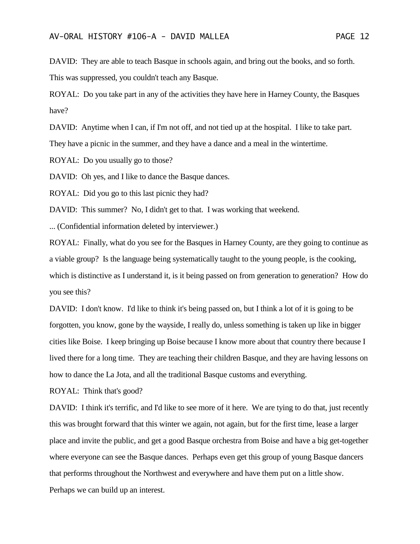DAVID: They are able to teach Basque in schools again, and bring out the books, and so forth. This was suppressed, you couldn't teach any Basque.

ROYAL: Do you take part in any of the activities they have here in Harney County, the Basques have?

DAVID: Anytime when I can, if I'm not off, and not tied up at the hospital. I like to take part.

They have a picnic in the summer, and they have a dance and a meal in the wintertime.

ROYAL: Do you usually go to those?

DAVID: Oh yes, and I like to dance the Basque dances.

ROYAL: Did you go to this last picnic they had?

DAVID: This summer? No, I didn't get to that. I was working that weekend.

... (Confidential information deleted by interviewer.)

ROYAL: Finally, what do you see for the Basques in Harney County, are they going to continue as a viable group? Is the language being systematically taught to the young people, is the cooking, which is distinctive as I understand it, is it being passed on from generation to generation? How do you see this?

DAVID: I don't know. I'd like to think it's being passed on, but I think a lot of it is going to be forgotten, you know, gone by the wayside, I really do, unless something is taken up like in bigger cities like Boise. I keep bringing up Boise because I know more about that country there because I lived there for a long time. They are teaching their children Basque, and they are having lessons on how to dance the La Jota, and all the traditional Basque customs and everything.

ROYAL: Think that's good?

DAVID: I think it's terrific, and I'd like to see more of it here. We are tying to do that, just recently this was brought forward that this winter we again, not again, but for the first time, lease a larger place and invite the public, and get a good Basque orchestra from Boise and have a big get-together where everyone can see the Basque dances. Perhaps even get this group of young Basque dancers that performs throughout the Northwest and everywhere and have them put on a little show. Perhaps we can build up an interest.